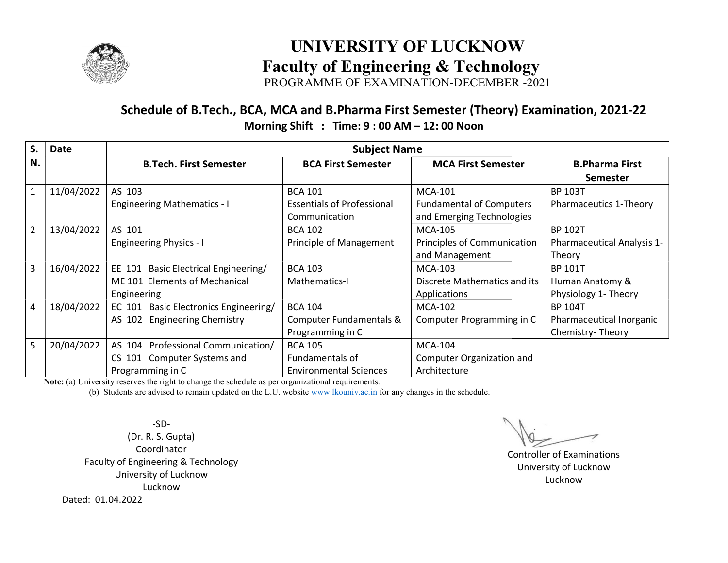

### UNIVERSITY OF LUCKNOW<br>Faculty of Engineering & Technology UNIVERSITY OF LUCKNOW

PROGRAMME OF EXAMINATION-DECEMBER -2021

### Schedule of B.Tech., BCA, MCA and B.Pharma First Semester (Theory) Examination, 2021-22 Morning Shift : Shift : Time: 9 : 00 AM – 12: 00 Noon

| $S_{\cdot}$    | Date       |                                                                                          | <b>Subject Name</b>                                                  |                                                                                |                                                                |
|----------------|------------|------------------------------------------------------------------------------------------|----------------------------------------------------------------------|--------------------------------------------------------------------------------|----------------------------------------------------------------|
| N.             |            | <b>B.Tech. First Semester</b>                                                            | <b>BCA First Semester</b>                                            | <b>MCA First Semester</b>                                                      | <b>B.Pharma First</b><br><b>Semester</b>                       |
| $\mathbf{1}$   | 11/04/2022 | AS 103<br><b>Engineering Mathematics - I</b>                                             | <b>BCA 101</b><br><b>Essentials of Professional</b><br>Communication | <b>MCA-101</b><br><b>Fundamental of Computers</b><br>and Emerging Technologies | <b>BP 103T</b><br>Pharmaceutics 1-Theory                       |
| $\overline{2}$ | 13/04/2022 | AS 101<br><b>Engineering Physics - I</b>                                                 | <b>BCA 102</b><br>Principle of Management                            | <b>MCA-105</b><br>Principles of Communication<br>and Management                | <b>BP 102T</b><br><b>Pharmaceutical Analysis 1-</b><br>Theory  |
| 3              | 16/04/2022 | Basic Electrical Engineering/<br>EE 101<br>ME 101 Elements of Mechanical<br>Engineering  | <b>BCA 103</b><br>Mathematics-I                                      | <b>MCA-103</b><br>Discrete Mathematics and its<br>Applications                 | <b>BP 101T</b><br>Human Anatomy &<br>Physiology 1- Theory      |
| 4              | 18/04/2022 | EC 101<br>Basic Electronics Engineering/<br><b>Engineering Chemistry</b><br>AS 102       | <b>BCA 104</b><br>Computer Fundamentals &<br>Programming in C        | <b>MCA-102</b><br>Computer Programming in C                                    | <b>BP 104T</b><br>Pharmaceutical Inorganic<br>Chemistry-Theory |
| 5              | 20/04/2022 | AS 104 Professional Communication/<br>Computer Systems and<br>CS 101<br>Programming in C | <b>BCA 105</b><br>Fundamentals of<br><b>Environmental Sciences</b>   | <b>MCA-104</b><br>Computer Organization and<br>Architecture                    |                                                                |

Note: (a) University reserves the right to change the schedule as per organizational requirements.

(b) Students are advised to remain updated on the L.U. website <u>www.lkouniv.ac.in</u> for any changes in the schedule.

-SD- (Dr. R. S. Gupta) Coordinator Faculty of Engineering & Technology University of Lucknow Lucknow Dated: 01.04.2022

 Controller of Examinations University of Lucknow Lucknow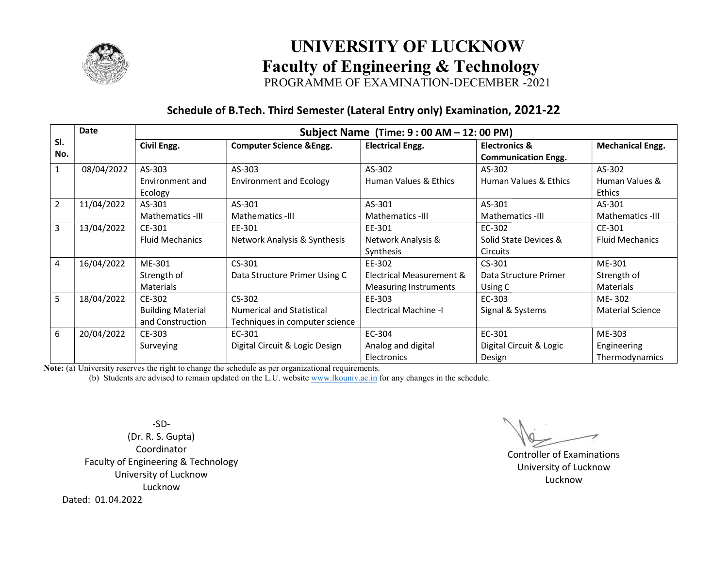

# UNIVERSITY OF LUCKNOW<br>Faculty of Engineering & Technology UNIVERSITY OF LUCKNOW

PROGRAMME OF EXAMINATION-DECEMBER -2021

#### Schedule of B.Tech. Third Semester (Lateral Entry only) Examination, 2021-22

| Date                         | Subject Name (Time: 9 : 00 AM – 12: 00 PM) |                                     |                              |                                                        |                         |  |
|------------------------------|--------------------------------------------|-------------------------------------|------------------------------|--------------------------------------------------------|-------------------------|--|
| SI.<br>No.                   | Civil Engg.                                | <b>Computer Science &amp; Engg.</b> | <b>Electrical Engg.</b>      | <b>Electronics &amp;</b><br><b>Communication Engg.</b> | <b>Mechanical Engg.</b> |  |
| 08/04/2022<br>$\mathbf{1}$   | AS-303                                     | AS-303                              | AS-302                       | AS-302                                                 | AS-302                  |  |
|                              | Environment and                            | <b>Environment and Ecology</b>      | Human Values & Ethics        | Human Values & Ethics                                  | Human Values &          |  |
|                              | Ecology                                    |                                     |                              |                                                        | <b>Ethics</b>           |  |
| $\overline{2}$<br>11/04/2022 | AS-301                                     | AS-301                              | AS-301                       | AS-301                                                 | AS-301                  |  |
|                              | Mathematics -III                           | Mathematics -III                    | Mathematics -III             | Mathematics -III                                       | Mathematics -III        |  |
| $\overline{3}$<br>13/04/2022 | CE-301                                     | EE-301                              | EE-301                       | EC-302                                                 | CE-301                  |  |
|                              | <b>Fluid Mechanics</b>                     | Network Analysis & Synthesis        | Network Analysis &           | Solid State Devices &                                  | <b>Fluid Mechanics</b>  |  |
|                              |                                            |                                     | Synthesis                    | <b>Circuits</b>                                        |                         |  |
| 4<br>16/04/2022              | ME-301                                     | $CS-301$                            | EE-302                       | $CS-301$                                               | ME-301                  |  |
|                              | Strength of                                | Data Structure Primer Using C       | Electrical Measurement &     | Data Structure Primer                                  | Strength of             |  |
|                              | Materials                                  |                                     | Measuring Instruments        | Using C                                                | Materials               |  |
| 5<br>18/04/2022              | CE-302                                     | $CS-302$                            | EE-303                       | EC-303                                                 | ME-302                  |  |
|                              | <b>Building Material</b>                   | <b>Numerical and Statistical</b>    | <b>Electrical Machine -I</b> | Signal & Systems                                       | <b>Material Science</b> |  |
|                              | and Construction                           | Techniques in computer science      |                              |                                                        |                         |  |
| 6<br>20/04/2022              | CE-303                                     | EC-301                              | EC-304                       | EC-301                                                 | ME-303                  |  |
|                              | Surveying                                  | Digital Circuit & Logic Design      | Analog and digital           | Digital Circuit & Logic                                | Engineering             |  |
|                              |                                            |                                     | Electronics                  | Design                                                 | Thermodynamics          |  |

Note: (a) University reserves the right to change the schedule as per organizational requirements.

(b) Students are advised to remain updated on the L.U. website  $\underline{www.lkouniv.ac.in}$  for any changes in the schedule.

-SD- (Dr. R. S. Gupta) Coordinator Faculty of Engineering & Technology University of Lucknow Lucknow Dated: 01.04.2022

 Controller of Examinations University of Lucknow Lucknow